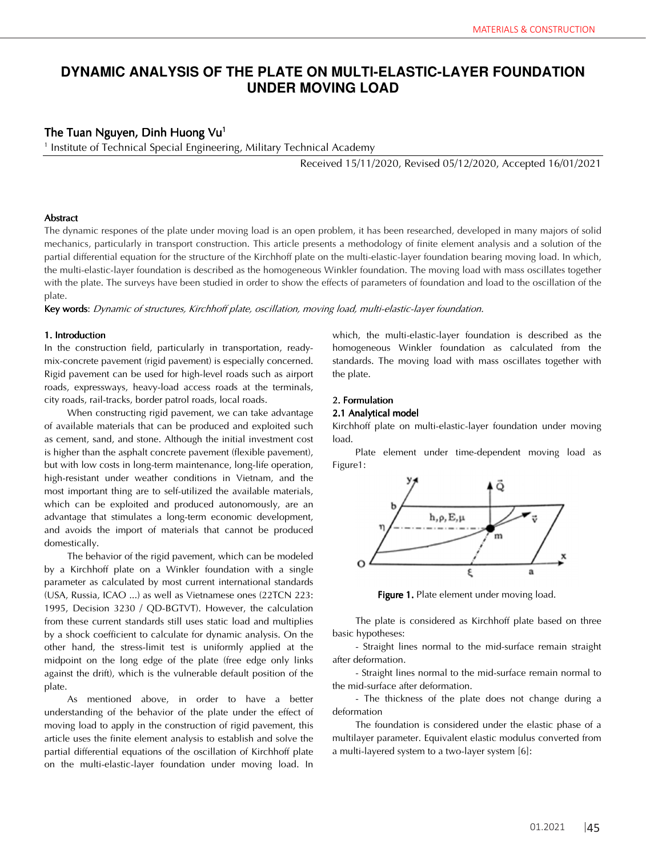# **DYNAMIC ANALYSIS OF THE PLATE ON MULTI-ELASTIC-LAYER FOUNDATION UNDER MOVING LOAD**

# The Tuan Nguyen, Dinh Huong Vu<sup>1</sup>

1 Institute of Technical Special Engineering, Military Technical Academy

Received 15/11/2020, Revised 05/12/2020, Accepted 16/01/2021

# **Abstract**

The dynamic respones of the plate under moving load is an open problem, it has been researched, developed in many majors of solid mechanics, particularly in transport construction. This article presents a methodology of finite element analysis and a solution of the partial differential equation for the structure of the Kirchhoff plate on the multi-elastic-layer foundation bearing moving load. In which, the multi-elastic-layer foundation is described as the homogeneous Winkler foundation. The moving load with mass oscillates together with the plate. The surveys have been studied in order to show the effects of parameters of foundation and load to the oscillation of the plate.

Key words: Dynamic of structures, Kirchhoff plate, oscillation, moving load, multi-elastic-layer foundation.

#### 1. Introduction

In the construction field, particularly in transportation, readymix-concrete pavement (rigid pavement) is especially concerned. Rigid pavement can be used for high-level roads such as airport roads, expressways, heavy-load access roads at the terminals, city roads, rail-tracks, border patrol roads, local roads.

When constructing rigid pavement, we can take advantage of available materials that can be produced and exploited such as cement, sand, and stone. Although the initial investment cost is higher than the asphalt concrete pavement (flexible pavement), but with low costs in long-term maintenance, long-life operation, high-resistant under weather conditions in Vietnam, and the most important thing are to self-utilized the available materials, which can be exploited and produced autonomously, are an advantage that stimulates a long-term economic development, and avoids the import of materials that cannot be produced domestically.

The behavior of the rigid pavement, which can be modeled by a Kirchhoff plate on a Winkler foundation with a single parameter as calculated by most current international standards (USA, Russia, ICAO ...) as well as Vietnamese ones (22TCN 223: 1995, Decision 3230 / QD-BGTVT). However, the calculation from these current standards still uses static load and multiplies by a shock coefficient to calculate for dynamic analysis. On the other hand, the stress-limit test is uniformly applied at the midpoint on the long edge of the plate (free edge only links against the drift), which is the vulnerable default position of the plate.

As mentioned above, in order to have a better understanding of the behavior of the plate under the effect of moving load to apply in the construction of rigid pavement, this article uses the finite element analysis to establish and solve the partial differential equations of the oscillation of Kirchhoff plate on the multi-elastic-layer foundation under moving load. In

which, the multi-elastic-layer foundation is described as the homogeneous Winkler foundation as calculated from the standards. The moving load with mass oscillates together with the plate.

# 2. Formulation

# 2.1 Analytical model

Kirchhoff plate on multi-elastic-layer foundation under moving load.

Plate element under time-dependent moving load as Figure1:



Figure 1. Plate element under moving load.

The plate is considered as Kirchhoff plate based on three basic hypotheses:

- Straight lines normal to the mid-surface remain straight after deformation.

- Straight lines normal to the mid-surface remain normal to the mid-surface after deformation.

- The thickness of the plate does not change during a deformation

The foundation is considered under the elastic phase of a multilayer parameter. Equivalent elastic modulus converted from a multi-layered system to a two-layer system [6]: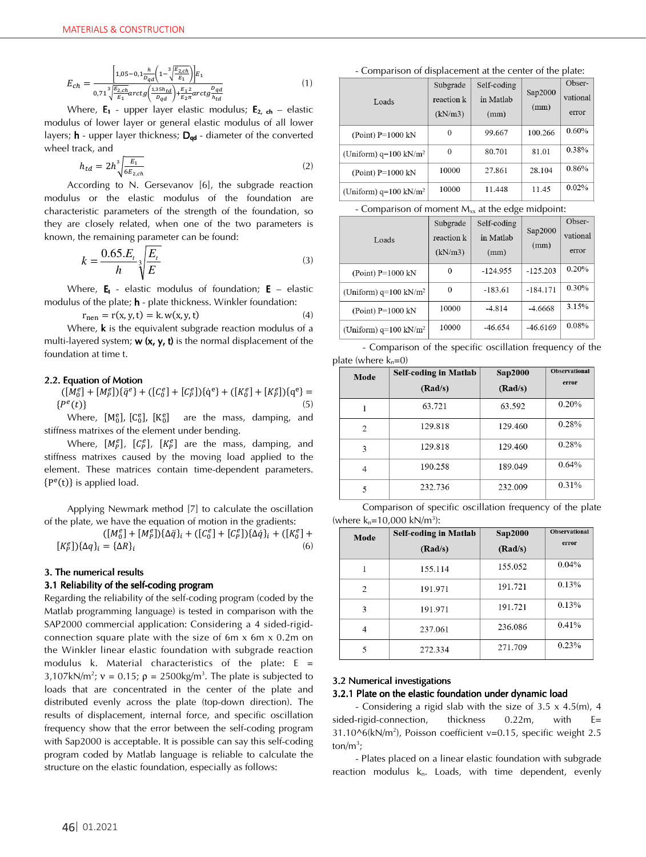$$
E_{ch} = \frac{\left[1,05 - 0.1 \frac{h}{D_{qd}} \left(1 - \frac{3}{2} \frac{\overline{E_{2,ch}}}{E_1}\right)\right] E_1}{0,71 \frac{3}{\sqrt{\frac{E_{2,ch}}{E_1}}} arctg\left(\frac{1,35h_{td}}{D_{qd}}\right) + \frac{E_1}{E_2} arctg\frac{D_{qd}}{h_{td}}}
$$
(1)

Where,  $E_1$  - upper layer elastic modulus;  $E_2$ ,  $_{ch}$  – elastic modulus of lower layer or general elastic modulus of all lower layers; **h** - upper layer thickness; D<sub>qd</sub> - diameter of the converted wheel track, and

$$
h_{td} = 2h^3 \sqrt{\frac{E_1}{6E_{2,ch}}} \tag{2}
$$

According to N. Gersevanov [6], the subgrade reaction modulus or the elastic modulus of the foundation are characteristic parameters of the strength of the foundation, so they are closely related, when one of the two parameters is known, the remaining parameter can be found:

$$
k = \frac{0.65.E_t}{h} \sqrt[3]{\frac{E_t}{E}}
$$
\n<sup>(3)</sup>

Where,  $E_t$  - elastic modulus of foundation;  $E$  – elastic modulus of the plate; **h** - plate thickness. Winkler foundation:

 $r_{\text{nen}} = r(x, y, t) = k. w(x, y, t)$  (4) Where,  $\bf{k}$  is the equivalent subgrade reaction modulus of a multi-layered system;  $w(x, y, t)$  is the normal displacement of the foundation at time t.

# 2.2. Equation of Motion

 $([M_0^e] + [M_P^e])\{\ddot{q}^e\} + ([C_0^e] + [C_P^e])\{\dot{q}^e\} + ([K_0^e] + [K_P^e])\{q^e\} =$  $\{P^{e}(t)\}\$  (5)

Where,  $[M_0^e]$ ,  $[C_0^e]$ ,  $[K_0^e]$  are the mass, damping, and stiffness matrixes of the element under bending.

Where,  $[M_P^e]$ ,  $[C_P^e]$ ,  $[K_P^e]$  are the mass, damping, and stiffness matrixes caused by the moving load applied to the element. These matrices contain time-dependent parameters.  $\{P^e(t)\}\$ is applied load.

Applying Newmark method [7] to calculate the oscillation of the plate, we have the equation of motion in the gradients:

$$
[(M_0^e] + [M_F^e])\{\Delta \vec{q}\}_i + ([C_0^e] + [C_F^e])\{\Delta \vec{q}\}_i + ([K_0^e] + [K_F^e])\{\Delta q\}_i = \{\Delta R\}_i
$$
\n(6)

# 3. The numerical results

# 3.1 Reliability of the self-coding program

Regarding the reliability of the self-coding program (coded by the Matlab programming language) is tested in comparison with the SAP2000 commercial application: Considering a 4 sided-rigidconnection square plate with the size of 6m x 6m x 0.2m on the Winkler linear elastic foundation with subgrade reaction modulus k. Material characteristics of the plate:  $E =$ 3,107kN/m<sup>2</sup>;  $v = 0.15$ ;  $\rho = 2500 \text{kg/m}^3$ . The plate is subjected to loads that are concentrated in the center of the plate and distributed evenly across the plate (top-down direction). The results of displacement, internal force, and specific oscillation frequency show that the error between the self-coding program with Sap2000 is acceptable. It is possible can say this self-coding program coded by Matlab language is reliable to calculate the structure on the elastic foundation, especially as follows:

- Comparison of displacement at the center of the plate:

|                                  | Subgrade   | Self-coding |         | Obser-   |
|----------------------------------|------------|-------------|---------|----------|
| Loads                            | reaction k | in Matlab   | Sap2000 | vational |
|                                  | (kN/m3)    | (mm)        | (mm)    | error    |
| $(Point) P=1000 kN$              | 0          | 99.667      | 100.266 | 0.60%    |
| (Uniform) $q=100 \text{ kN/m}^2$ | 0          | 80.701      | 81.01   | 0.38%    |
| $(Point)$ P=1000 kN              | 10000      | 27.861      | 28.104  | 0.86%    |
| (Uniform) $q=100 \text{ kN/m}^2$ | 10000      | 11.448      | 11.45   | 0.02%    |

- Comparison of moment  $M_{\nu}$  at the edge midpoint:

|                                  | Subgrade   | Self-coding |            | Obser-   |
|----------------------------------|------------|-------------|------------|----------|
| Loads                            | reaction k | in Matlab   | Sap2000    | vational |
|                                  | (kN/m3)    | (mm)        | (mm)       | error    |
| (Point) $P=1000$ kN              | 0          | $-124.955$  | $-125.203$ | 0.20%    |
| (Uniform) $q=100 \text{ kN/m}^2$ | $\Omega$   | $-183.61$   | $-184.171$ | $0.30\%$ |
| (Point) $P=1000$ kN              | 10000      | $-4.814$    | $-4.6668$  | 3.15%    |
| (Uniform) $q=100 \text{ kN/m}^2$ | 10000      | $-46.654$   | $-46.6169$ | 0.08%    |

| - Comparison of the specific oscillation frequency of the |  |  |  |
|-----------------------------------------------------------|--|--|--|
| plate (where $k_n=0$ )                                    |  |  |  |

| Mode | <b>Self-coding in Matlab</b> | <b>Sap2000</b> | <b>Observational</b> |
|------|------------------------------|----------------|----------------------|
|      | (Rad/s)                      | (Rad/s)        | error                |
|      | 63.721                       | 63.592         | 0.20%                |
| 2    | 129.818                      | 129.460        | 0.28%                |
| 3    | 129.818                      | 129.460        | 0.28%                |
| 4    | 190.258                      | 189.049        | 0.64%                |
| 5    | 232.736                      | 232.009        | 0.31%                |

 Comparison of specific oscillation frequency of the plate (where  $k_n = 10,000$  kN/m<sup>3</sup>):

| Mode | <b>Self-coding in Matlab</b> | <b>Sap2000</b> | <b>Observational</b> |
|------|------------------------------|----------------|----------------------|
|      | (Rad/s)                      | (Rad/s)        | error                |
| 1    | 155.114                      | 155.052        | 0.04%                |
| 2    | 191.971                      | 191.721        | 0.13%                |
| 3    | 191.971                      | 191.721        | 0.13%                |
| 4    | 237.061                      | 236.086        | 0.41%                |
| 5    | 272.334                      | 271.709        | 0.23%                |

# 3.2 Numerical investigations

# 3.2.1 Plate on the elastic foundation under dynamic load

- Considering a rigid slab with the size of 3.5 x 4.5(m), 4 sided-rigid-connection, thickness 0.22m, with E= 31.10^6(kN/m2 ), Poisson coefficient v=0.15, specific weight 2.5 ton/m<sup>3</sup>;

- Plates placed on a linear elastic foundation with subgrade reaction modulus  $k_n$ . Loads, with time dependent, evenly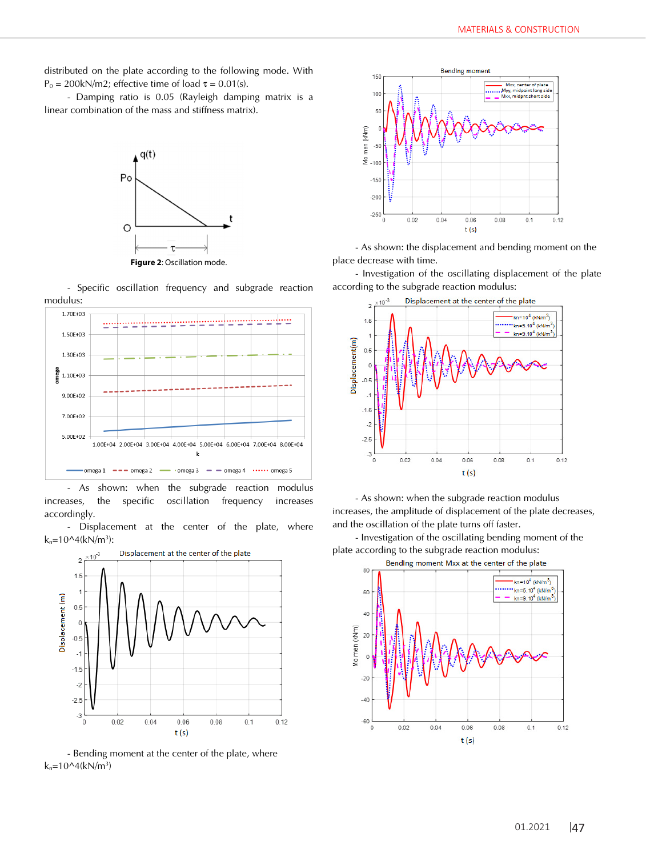distributed on the plate according to the following mode. With  $P_0 = 200$ kN/m2; effective time of load τ = 0.01(s).

- Damping ratio is 0.05 (Rayleigh damping matrix is a linear combination of the mass and stiffness matrix).



- Specific oscillation frequency and subgrade reaction modulus:



- As shown: when the subgrade reaction modulus increases, the specific oscillation frequency increases accordingly.

- Displacement at the center of the plate, where  $k_n = 10^4(kN/m^3)$ :



- Bending moment at the center of the plate, where  $k_n = 10^4$ (kN/m<sup>3</sup>)



- As shown: the displacement and bending moment on the place decrease with time.

- Investigation of the oscillating displacement of the plate according to the subgrade reaction modulus:



- As shown: when the subgrade reaction modulus increases, the amplitude of displacement of the plate decreases, and the oscillation of the plate turns off faster.

- Investigation of the oscillating bending moment of the plate according to the subgrade reaction modulus:

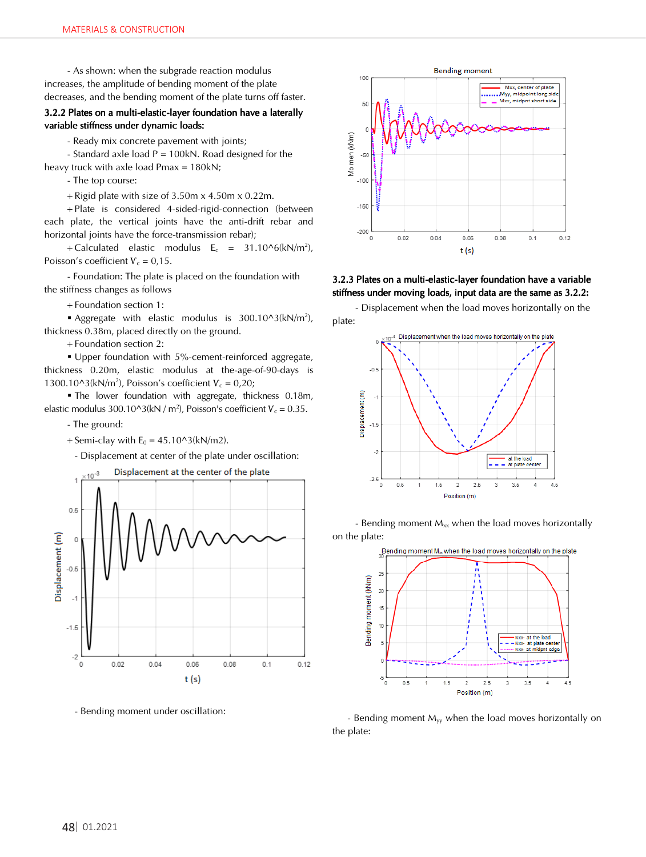- As shown: when the subgrade reaction modulus increases, the amplitude of bending moment of the plate decreases, and the bending moment of the plate turns off faster.

# 3.2.2 Plates on a multi-elastic-layer foundation have a laterally variable stiffness under dynamic loads:

- Ready mix concrete pavement with joints;

- Standard axle load  $P = 100kN$ . Road designed for the heavy truck with axle load Pmax = 180kN;

- The top course:

+ Rigid plate with size of 3.50m x 4.50m x 0.22m.

+ Plate is considered 4-sided-rigid-connection (between each plate, the vertical joints have the anti-drift rebar and horizontal joints have the force-transmission rebar);

+ Calculated elastic modulus  $E_c = 31.10^{6}$  (kN/m<sup>2</sup>), Poisson's coefficient  $V_c = 0.15$ .

- Foundation: The plate is placed on the foundation with the stiffness changes as follows

+ Foundation section 1:

Aggregate with elastic modulus is  $300.10^{\circ}3(kN/m^2)$ , thickness 0.38m, placed directly on the ground.

+ Foundation section 2:

 Upper foundation with 5%-cement-reinforced aggregate, thickness 0.20m, elastic modulus at the-age-of-90-days is  $1300.10^{\circ}3(kN/m^2)$ , Poisson's coefficient  $V_c = 0.20$ ;

 The lower foundation with aggregate, thickness 0.18m, elastic modulus 300.10^3(kN / m<sup>2</sup>), Poisson's coefficient  $V_c = 0.35$ .

- The ground:

+ Semi-clay with  $E_0 = 45.10^{\circ}3(kN/m2)$ .

- Displacement at center of the plate under oscillation:



- Bending moment under oscillation:



3.2.3 Plates on a multi-elastic-layer foundation have a variable stiffness under moving loads, input data are the same as 3.2.2:

- Displacement when the load moves horizontally on the plate:



- Bending moment  $M_{xx}$  when the load moves horizontally on the plate:



- Bending moment  $M_{yy}$  when the load moves horizontally on the plate: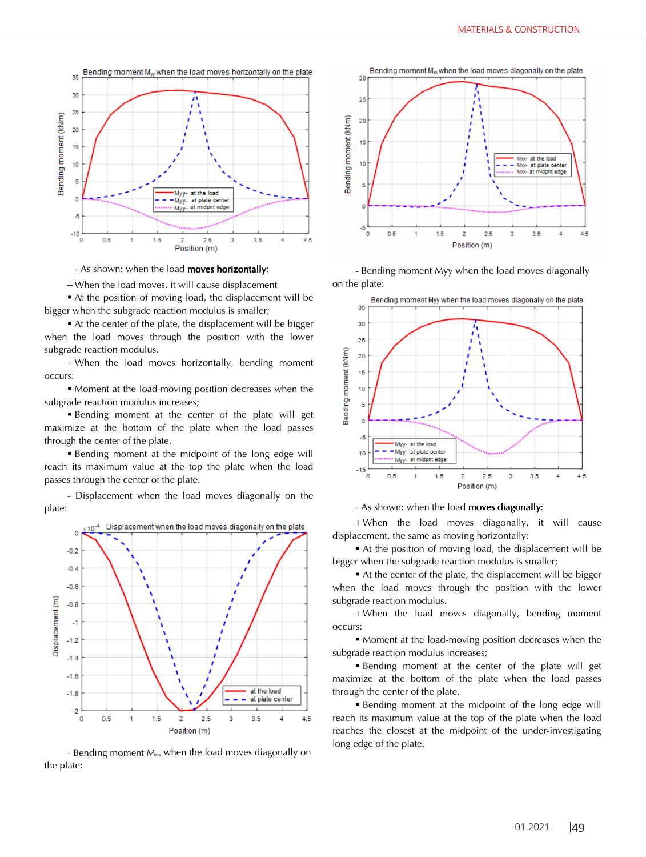

- As shown: when the load moves horizontally:

+ When the load moves, it will cause displacement

At the position of moving load, the displacement will be bigger when the subgrade reaction modulus is smaller;

 At the center of the plate, the displacement will be bigger when the load moves through the position with the lower subgrade reaction modulus.

+ When the load moves horizontally, bending moment occurs:

 Moment at the load-moving position decreases when the subgrade reaction modulus increases;

 Bending moment at the center of the plate will get maximize at the bottom of the plate when the load passes through the center of the plate.

Bending moment at the midpoint of the long edge will reach its maximum value at the top the plate when the load passes through the center of the plate.

- Displacement when the load moves diagonally on the plate:



- Bending moment  $M_{xx}$  when the load moves diagonally on the plate:



- Bending moment Myy when the load moves diagonally on the plate:



## - As shown: when the load moves diagonally:

+ When the load moves diagonally, it will cause displacement, the same as moving horizontally:

 At the position of moving load, the displacement will be bigger when the subgrade reaction modulus is smaller;

 At the center of the plate, the displacement will be bigger when the load moves through the position with the lower subgrade reaction modulus.

+ When the load moves diagonally, bending moment occurs:

 Moment at the load-moving position decreases when the subgrade reaction modulus increases;

 Bending moment at the center of the plate will get maximize at the bottom of the plate when the load passes through the center of the plate.

**Bending moment at the midpoint of the long edge will** reach its maximum value at the top of the plate when the load reaches the closest at the midpoint of the under-investigating long edge of the plate.